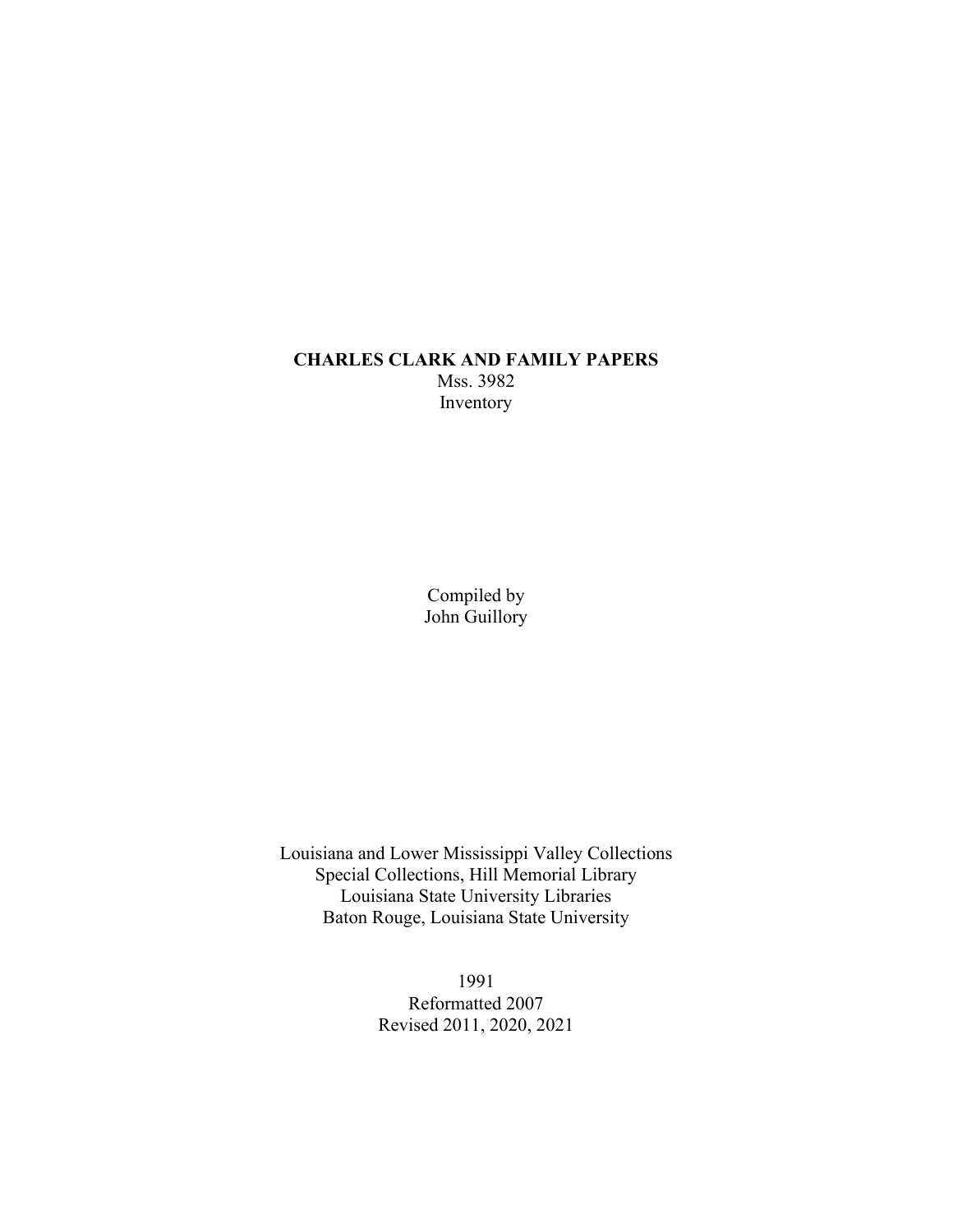### **CHARLES CLARK AND FAMILY PAPERS** Mss. 3982 Inventory

Compiled by John Guillory

Louisiana and Lower Mississippi Valley Collections Special Collections, Hill Memorial Library Louisiana State University Libraries Baton Rouge, Louisiana State University

> 1991 Reformatted 2007 Revised 2011, 2020, 2021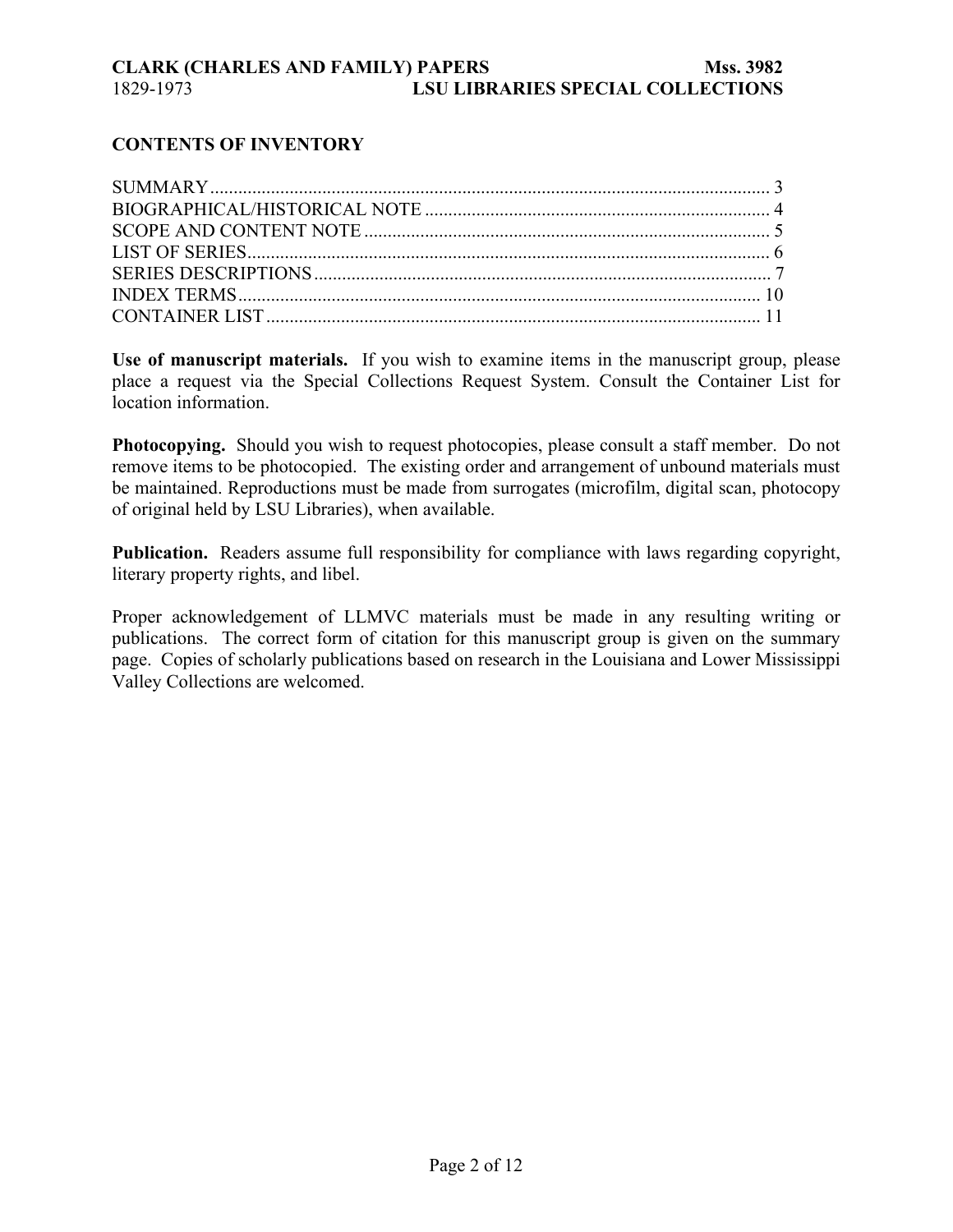## **CONTENTS OF INVENTORY**

**Use of manuscript materials.** If you wish to examine items in the manuscript group, please place a request via the Special Collections Request System. Consult the Container List for location information.

**Photocopying.** Should you wish to request photocopies, please consult a staff member. Do not remove items to be photocopied. The existing order and arrangement of unbound materials must be maintained. Reproductions must be made from surrogates (microfilm, digital scan, photocopy of original held by LSU Libraries), when available.

**Publication.** Readers assume full responsibility for compliance with laws regarding copyright, literary property rights, and libel.

Proper acknowledgement of LLMVC materials must be made in any resulting writing or publications. The correct form of citation for this manuscript group is given on the summary page. Copies of scholarly publications based on research in the Louisiana and Lower Mississippi Valley Collections are welcomed.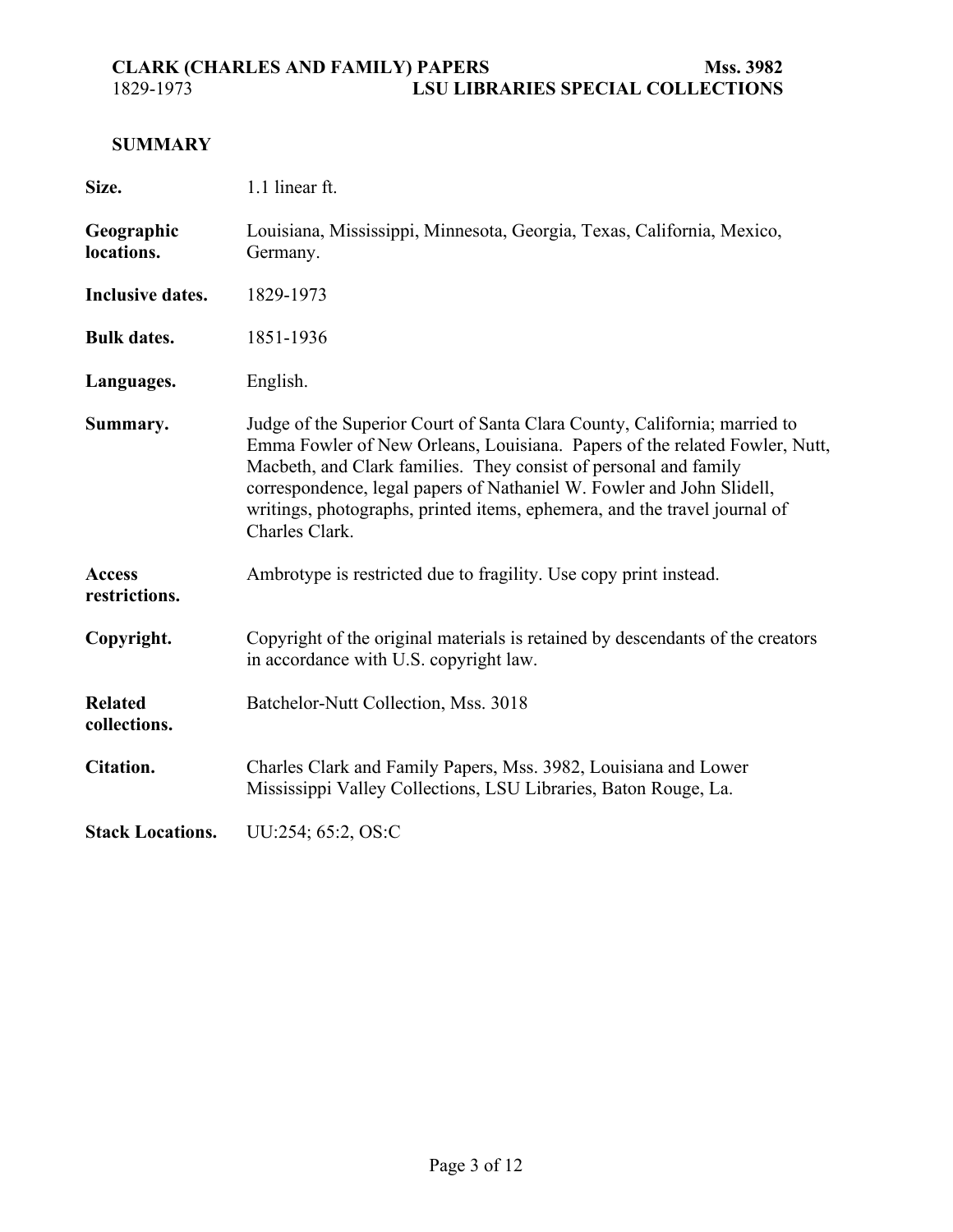# <span id="page-2-0"></span>**SUMMARY**

| Size.                          | 1.1 linear ft.                                                                                                                                                                                                                                                                                                                                                                                      |  |  |  |
|--------------------------------|-----------------------------------------------------------------------------------------------------------------------------------------------------------------------------------------------------------------------------------------------------------------------------------------------------------------------------------------------------------------------------------------------------|--|--|--|
| Geographic<br>locations.       | Louisiana, Mississippi, Minnesota, Georgia, Texas, California, Mexico,<br>Germany.                                                                                                                                                                                                                                                                                                                  |  |  |  |
| Inclusive dates.               | 1829-1973                                                                                                                                                                                                                                                                                                                                                                                           |  |  |  |
| <b>Bulk dates.</b>             | 1851-1936                                                                                                                                                                                                                                                                                                                                                                                           |  |  |  |
| Languages.                     | English.                                                                                                                                                                                                                                                                                                                                                                                            |  |  |  |
| Summary.                       | Judge of the Superior Court of Santa Clara County, California; married to<br>Emma Fowler of New Orleans, Louisiana. Papers of the related Fowler, Nutt,<br>Macbeth, and Clark families. They consist of personal and family<br>correspondence, legal papers of Nathaniel W. Fowler and John Slidell,<br>writings, photographs, printed items, ephemera, and the travel journal of<br>Charles Clark. |  |  |  |
| <b>Access</b><br>restrictions. | Ambrotype is restricted due to fragility. Use copy print instead.                                                                                                                                                                                                                                                                                                                                   |  |  |  |
| Copyright.                     | Copyright of the original materials is retained by descendants of the creators<br>in accordance with U.S. copyright law.                                                                                                                                                                                                                                                                            |  |  |  |
| <b>Related</b><br>collections. | Batchelor-Nutt Collection, Mss. 3018                                                                                                                                                                                                                                                                                                                                                                |  |  |  |
| Citation.                      | Charles Clark and Family Papers, Mss. 3982, Louisiana and Lower<br>Mississippi Valley Collections, LSU Libraries, Baton Rouge, La.                                                                                                                                                                                                                                                                  |  |  |  |
| <b>Stack Locations.</b>        | UU:254; 65:2, OS:C                                                                                                                                                                                                                                                                                                                                                                                  |  |  |  |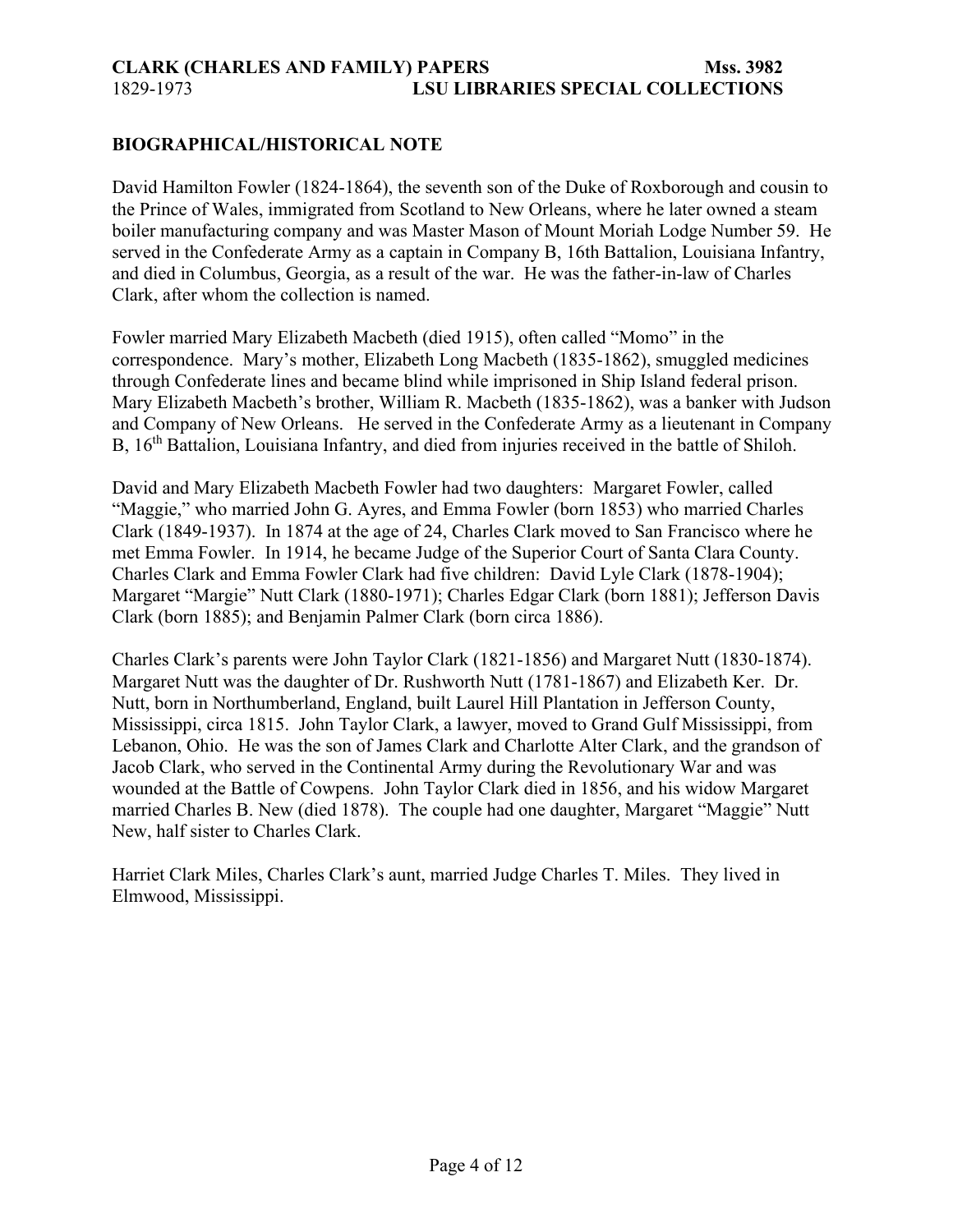#### <span id="page-3-0"></span>**BIOGRAPHICAL/HISTORICAL NOTE**

David Hamilton Fowler (1824-1864), the seventh son of the Duke of Roxborough and cousin to the Prince of Wales, immigrated from Scotland to New Orleans, where he later owned a steam boiler manufacturing company and was Master Mason of Mount Moriah Lodge Number 59. He served in the Confederate Army as a captain in Company B, 16th Battalion, Louisiana Infantry, and died in Columbus, Georgia, as a result of the war. He was the father-in-law of Charles Clark, after whom the collection is named.

Fowler married Mary Elizabeth Macbeth (died 1915), often called "Momo" in the correspondence. Mary's mother, Elizabeth Long Macbeth (1835-1862), smuggled medicines through Confederate lines and became blind while imprisoned in Ship Island federal prison. Mary Elizabeth Macbeth's brother, William R. Macbeth (1835-1862), was a banker with Judson and Company of New Orleans. He served in the Confederate Army as a lieutenant in Company B, 16<sup>th</sup> Battalion, Louisiana Infantry, and died from injuries received in the battle of Shiloh.

David and Mary Elizabeth Macbeth Fowler had two daughters: Margaret Fowler, called "Maggie," who married John G. Ayres, and Emma Fowler (born 1853) who married Charles Clark (1849-1937). In 1874 at the age of 24, Charles Clark moved to San Francisco where he met Emma Fowler. In 1914, he became Judge of the Superior Court of Santa Clara County. Charles Clark and Emma Fowler Clark had five children: David Lyle Clark (1878-1904); Margaret "Margie" Nutt Clark (1880-1971); Charles Edgar Clark (born 1881); Jefferson Davis Clark (born 1885); and Benjamin Palmer Clark (born circa 1886).

Charles Clark's parents were John Taylor Clark (1821-1856) and Margaret Nutt (1830-1874). Margaret Nutt was the daughter of Dr. Rushworth Nutt (1781-1867) and Elizabeth Ker. Dr. Nutt, born in Northumberland, England, built Laurel Hill Plantation in Jefferson County, Mississippi, circa 1815. John Taylor Clark, a lawyer, moved to Grand Gulf Mississippi, from Lebanon, Ohio. He was the son of James Clark and Charlotte Alter Clark, and the grandson of Jacob Clark, who served in the Continental Army during the Revolutionary War and was wounded at the Battle of Cowpens. John Taylor Clark died in 1856, and his widow Margaret married Charles B. New (died 1878). The couple had one daughter, Margaret "Maggie" Nutt New, half sister to Charles Clark.

Harriet Clark Miles, Charles Clark's aunt, married Judge Charles T. Miles. They lived in Elmwood, Mississippi.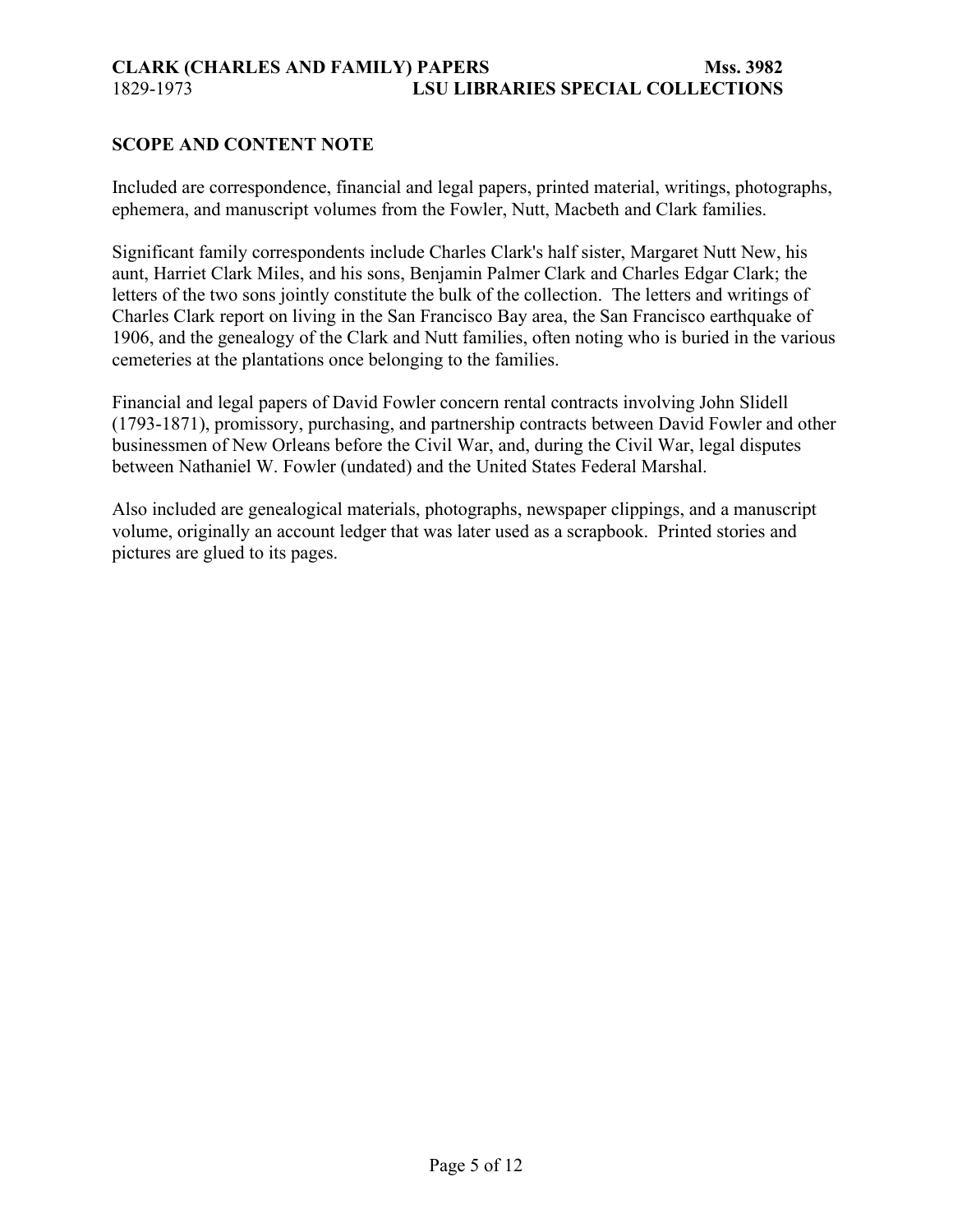### <span id="page-4-0"></span>**SCOPE AND CONTENT NOTE**

Included are correspondence, financial and legal papers, printed material, writings, photographs, ephemera, and manuscript volumes from the Fowler, Nutt, Macbeth and Clark families.

Significant family correspondents include Charles Clark's half sister, Margaret Nutt New, his aunt, Harriet Clark Miles, and his sons, Benjamin Palmer Clark and Charles Edgar Clark; the letters of the two sons jointly constitute the bulk of the collection. The letters and writings of Charles Clark report on living in the San Francisco Bay area, the San Francisco earthquake of 1906, and the genealogy of the Clark and Nutt families, often noting who is buried in the various cemeteries at the plantations once belonging to the families.

Financial and legal papers of David Fowler concern rental contracts involving John Slidell (1793-1871), promissory, purchasing, and partnership contracts between David Fowler and other businessmen of New Orleans before the Civil War, and, during the Civil War, legal disputes between Nathaniel W. Fowler (undated) and the United States Federal Marshal.

Also included are genealogical materials, photographs, newspaper clippings, and a manuscript volume, originally an account ledger that was later used as a scrapbook. Printed stories and pictures are glued to its pages.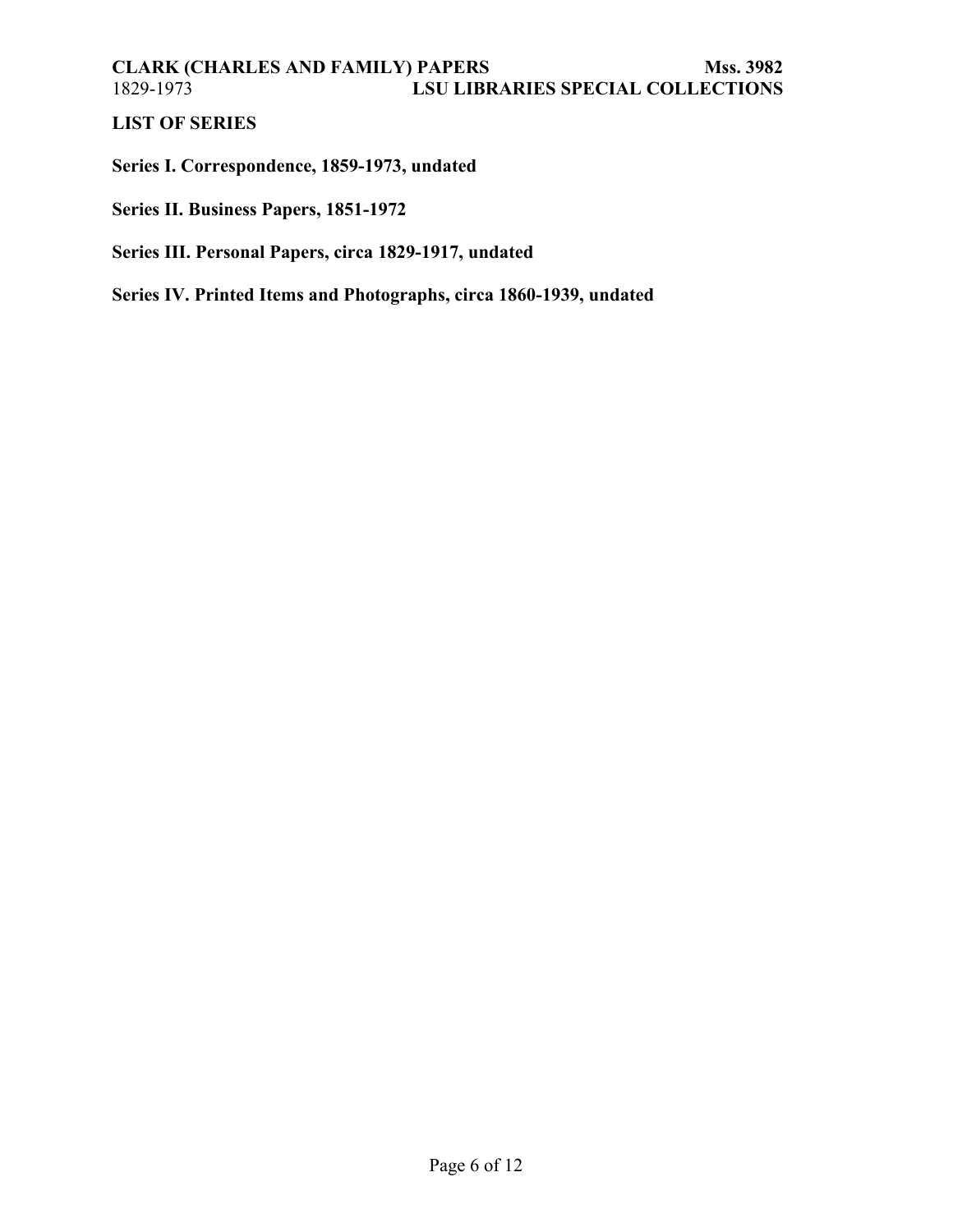# <span id="page-5-0"></span>**LIST OF SERIES**

**Series I. Correspondence, 1859-1973, undated**

**Series II. Business Papers, 1851-1972**

## **Series III. Personal Papers, circa 1829-1917, undated**

**Series IV. Printed Items and Photographs, circa 1860-1939, undated**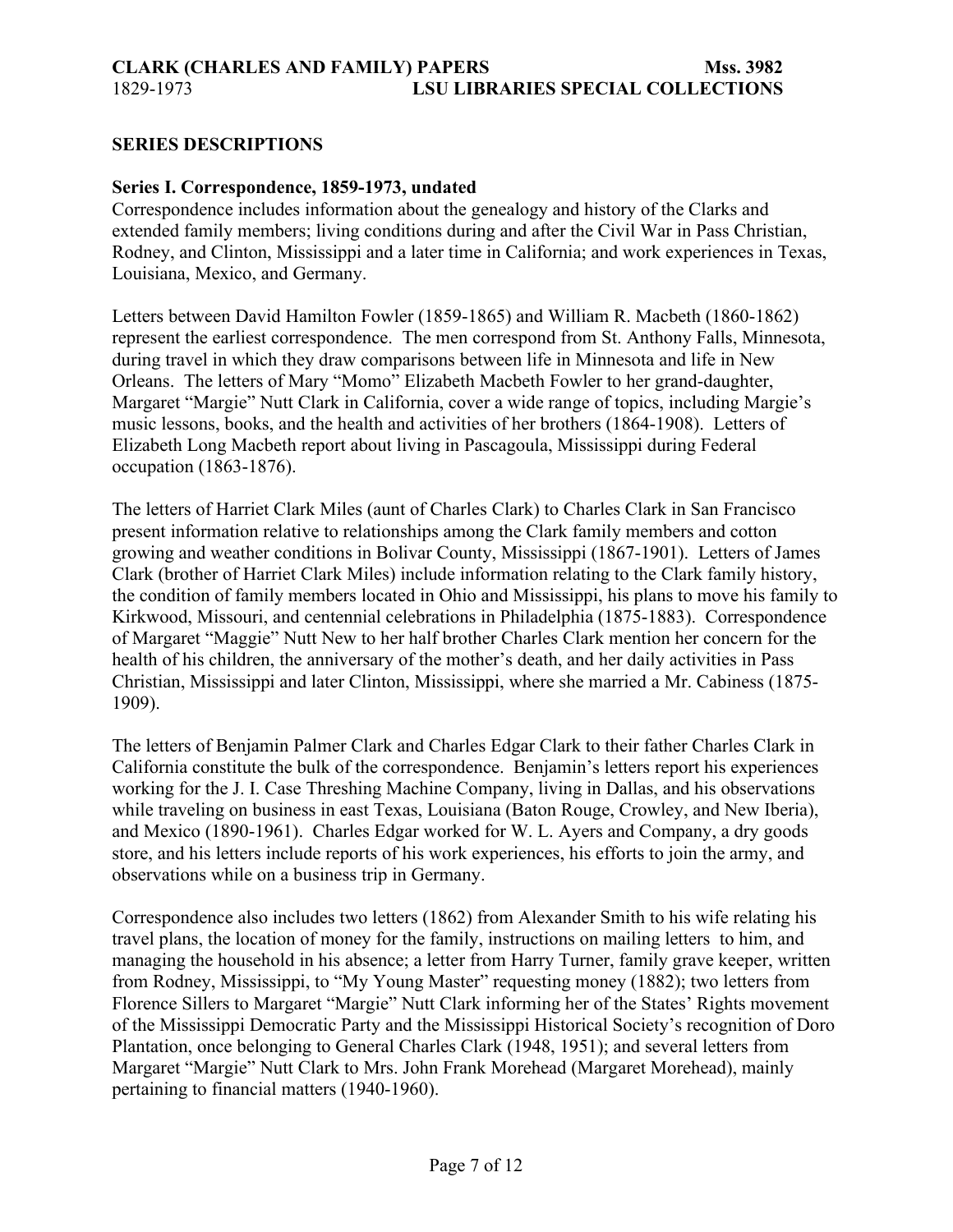#### <span id="page-6-0"></span>**SERIES DESCRIPTIONS**

#### **Series I. Correspondence, 1859-1973, undated**

Correspondence includes information about the genealogy and history of the Clarks and extended family members; living conditions during and after the Civil War in Pass Christian, Rodney, and Clinton, Mississippi and a later time in California; and work experiences in Texas, Louisiana, Mexico, and Germany.

Letters between David Hamilton Fowler (1859-1865) and William R. Macbeth (1860-1862) represent the earliest correspondence. The men correspond from St. Anthony Falls, Minnesota, during travel in which they draw comparisons between life in Minnesota and life in New Orleans. The letters of Mary "Momo" Elizabeth Macbeth Fowler to her grand-daughter, Margaret "Margie" Nutt Clark in California, cover a wide range of topics, including Margie's music lessons, books, and the health and activities of her brothers (1864-1908). Letters of Elizabeth Long Macbeth report about living in Pascagoula, Mississippi during Federal occupation (1863-1876).

The letters of Harriet Clark Miles (aunt of Charles Clark) to Charles Clark in San Francisco present information relative to relationships among the Clark family members and cotton growing and weather conditions in Bolivar County, Mississippi (1867-1901). Letters of James Clark (brother of Harriet Clark Miles) include information relating to the Clark family history, the condition of family members located in Ohio and Mississippi, his plans to move his family to Kirkwood, Missouri, and centennial celebrations in Philadelphia (1875-1883). Correspondence of Margaret "Maggie" Nutt New to her half brother Charles Clark mention her concern for the health of his children, the anniversary of the mother's death, and her daily activities in Pass Christian, Mississippi and later Clinton, Mississippi, where she married a Mr. Cabiness (1875- 1909).

The letters of Benjamin Palmer Clark and Charles Edgar Clark to their father Charles Clark in California constitute the bulk of the correspondence. Benjamin's letters report his experiences working for the J. I. Case Threshing Machine Company, living in Dallas, and his observations while traveling on business in east Texas, Louisiana (Baton Rouge, Crowley, and New Iberia), and Mexico (1890-1961). Charles Edgar worked for W. L. Ayers and Company, a dry goods store, and his letters include reports of his work experiences, his efforts to join the army, and observations while on a business trip in Germany.

Correspondence also includes two letters (1862) from Alexander Smith to his wife relating his travel plans, the location of money for the family, instructions on mailing letters to him, and managing the household in his absence; a letter from Harry Turner, family grave keeper, written from Rodney, Mississippi, to "My Young Master" requesting money (1882); two letters from Florence Sillers to Margaret "Margie" Nutt Clark informing her of the States' Rights movement of the Mississippi Democratic Party and the Mississippi Historical Society's recognition of Doro Plantation, once belonging to General Charles Clark (1948, 1951); and several letters from Margaret "Margie" Nutt Clark to Mrs. John Frank Morehead (Margaret Morehead), mainly pertaining to financial matters (1940-1960).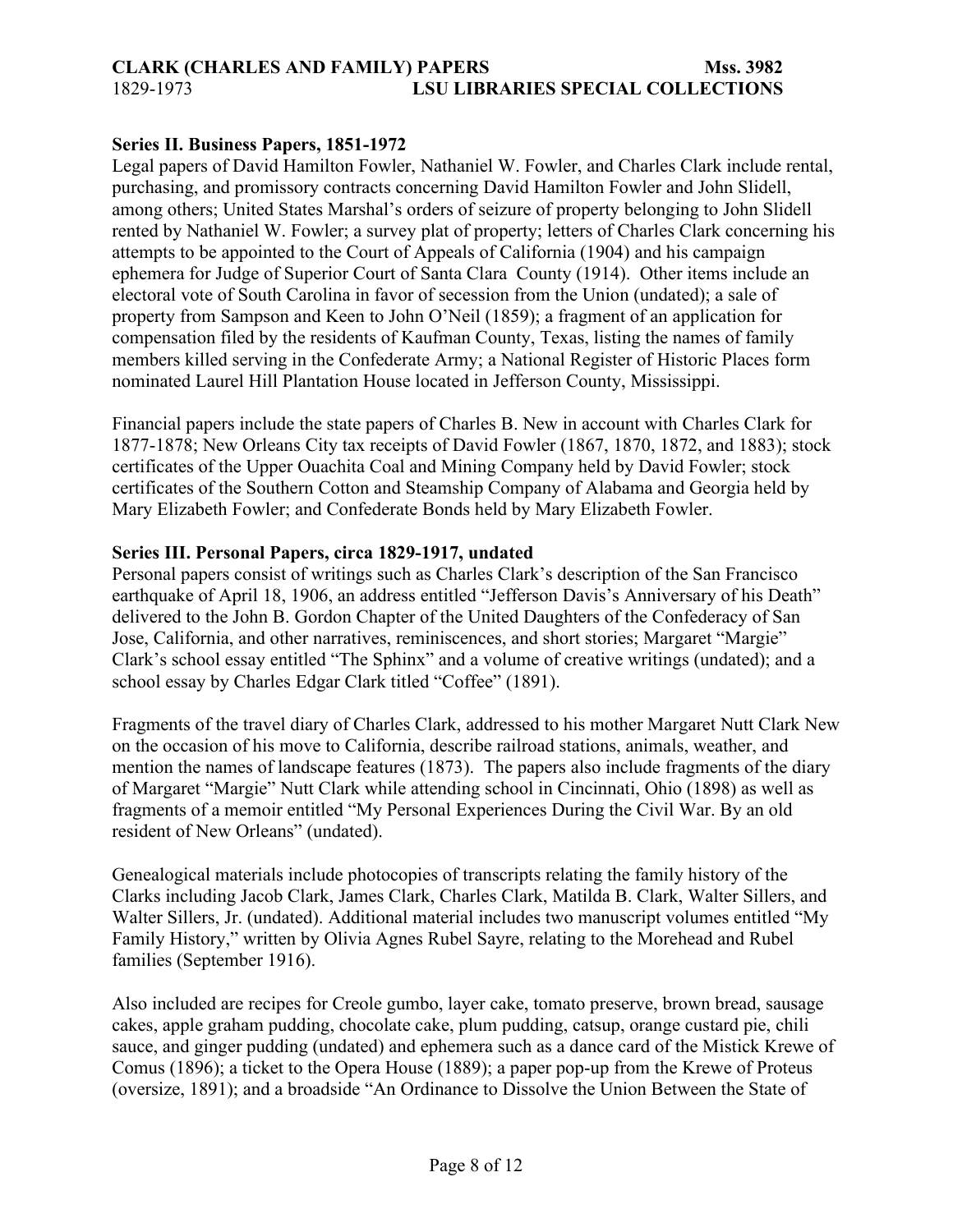#### **Series II. Business Papers, 1851-1972**

Legal papers of David Hamilton Fowler, Nathaniel W. Fowler, and Charles Clark include rental, purchasing, and promissory contracts concerning David Hamilton Fowler and John Slidell, among others; United States Marshal's orders of seizure of property belonging to John Slidell rented by Nathaniel W. Fowler; a survey plat of property; letters of Charles Clark concerning his attempts to be appointed to the Court of Appeals of California (1904) and his campaign ephemera for Judge of Superior Court of Santa Clara County (1914). Other items include an electoral vote of South Carolina in favor of secession from the Union (undated); a sale of property from Sampson and Keen to John O'Neil (1859); a fragment of an application for compensation filed by the residents of Kaufman County, Texas, listing the names of family members killed serving in the Confederate Army; a National Register of Historic Places form nominated Laurel Hill Plantation House located in Jefferson County, Mississippi.

Financial papers include the state papers of Charles B. New in account with Charles Clark for 1877-1878; New Orleans City tax receipts of David Fowler (1867, 1870, 1872, and 1883); stock certificates of the Upper Ouachita Coal and Mining Company held by David Fowler; stock certificates of the Southern Cotton and Steamship Company of Alabama and Georgia held by Mary Elizabeth Fowler; and Confederate Bonds held by Mary Elizabeth Fowler.

#### **Series III. Personal Papers, circa 1829-1917, undated**

Personal papers consist of writings such as Charles Clark's description of the San Francisco earthquake of April 18, 1906, an address entitled "Jefferson Davis's Anniversary of his Death" delivered to the John B. Gordon Chapter of the United Daughters of the Confederacy of San Jose, California, and other narratives, reminiscences, and short stories; Margaret "Margie" Clark's school essay entitled "The Sphinx" and a volume of creative writings (undated); and a school essay by Charles Edgar Clark titled "Coffee" (1891).

Fragments of the travel diary of Charles Clark, addressed to his mother Margaret Nutt Clark New on the occasion of his move to California, describe railroad stations, animals, weather, and mention the names of landscape features (1873). The papers also include fragments of the diary of Margaret "Margie" Nutt Clark while attending school in Cincinnati, Ohio (1898) as well as fragments of a memoir entitled "My Personal Experiences During the Civil War. By an old resident of New Orleans" (undated).

Genealogical materials include photocopies of transcripts relating the family history of the Clarks including Jacob Clark, James Clark, Charles Clark, Matilda B. Clark, Walter Sillers, and Walter Sillers, Jr. (undated). Additional material includes two manuscript volumes entitled "My Family History," written by Olivia Agnes Rubel Sayre, relating to the Morehead and Rubel families (September 1916).

Also included are recipes for Creole gumbo, layer cake, tomato preserve, brown bread, sausage cakes, apple graham pudding, chocolate cake, plum pudding, catsup, orange custard pie, chili sauce, and ginger pudding (undated) and ephemera such as a dance card of the Mistick Krewe of Comus (1896); a ticket to the Opera House (1889); a paper pop-up from the Krewe of Proteus (oversize, 1891); and a broadside "An Ordinance to Dissolve the Union Between the State of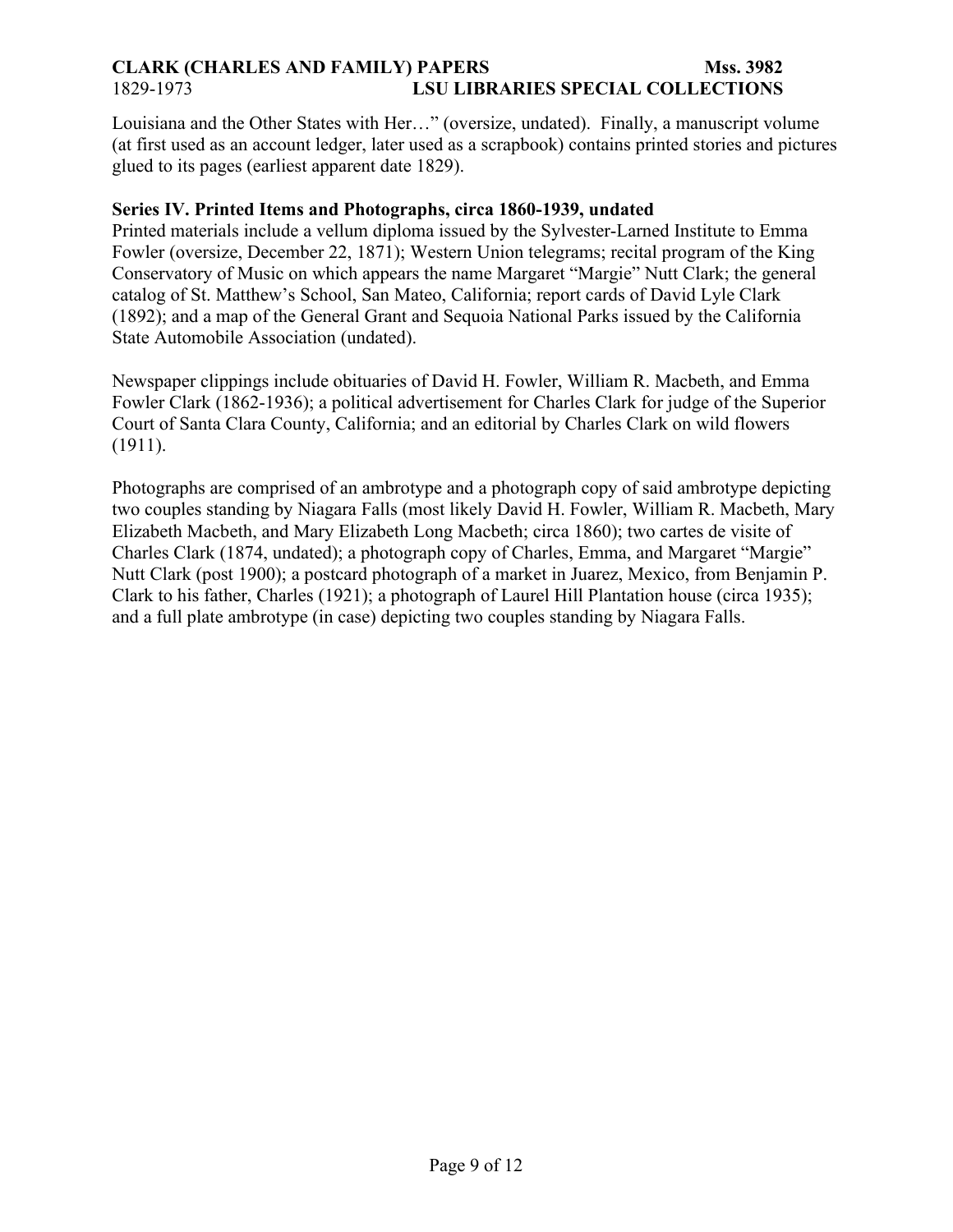Louisiana and the Other States with Her…" (oversize, undated). Finally, a manuscript volume (at first used as an account ledger, later used as a scrapbook) contains printed stories and pictures glued to its pages (earliest apparent date 1829).

#### **Series IV. Printed Items and Photographs, circa 1860-1939, undated**

Printed materials include a vellum diploma issued by the Sylvester-Larned Institute to Emma Fowler (oversize, December 22, 1871); Western Union telegrams; recital program of the King Conservatory of Music on which appears the name Margaret "Margie" Nutt Clark; the general catalog of St. Matthew's School, San Mateo, California; report cards of David Lyle Clark (1892); and a map of the General Grant and Sequoia National Parks issued by the California State Automobile Association (undated).

Newspaper clippings include obituaries of David H. Fowler, William R. Macbeth, and Emma Fowler Clark (1862-1936); a political advertisement for Charles Clark for judge of the Superior Court of Santa Clara County, California; and an editorial by Charles Clark on wild flowers (1911).

Photographs are comprised of an ambrotype and a photograph copy of said ambrotype depicting two couples standing by Niagara Falls (most likely David H. Fowler, William R. Macbeth, Mary Elizabeth Macbeth, and Mary Elizabeth Long Macbeth; circa 1860); two cartes de visite of Charles Clark (1874, undated); a photograph copy of Charles, Emma, and Margaret "Margie" Nutt Clark (post 1900); a postcard photograph of a market in Juarez, Mexico, from Benjamin P. Clark to his father, Charles (1921); a photograph of Laurel Hill Plantation house (circa 1935); and a full plate ambrotype (in case) depicting two couples standing by Niagara Falls.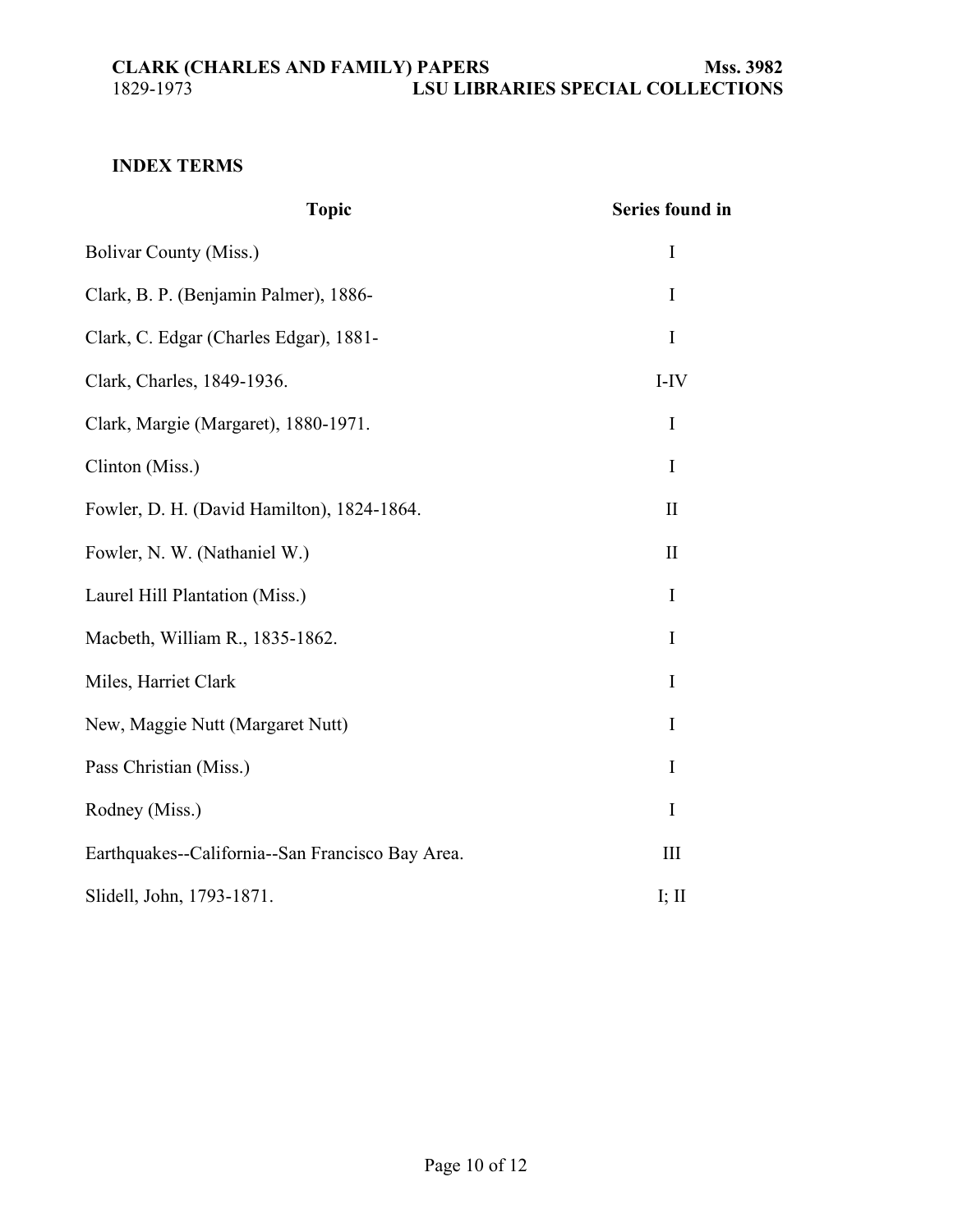# <span id="page-9-0"></span>**INDEX TERMS**

| <b>Topic</b>                                     | <b>Series found in</b> |
|--------------------------------------------------|------------------------|
| <b>Bolivar County (Miss.)</b>                    | $\mathbf I$            |
| Clark, B. P. (Benjamin Palmer), 1886-            | I                      |
| Clark, C. Edgar (Charles Edgar), 1881-           | $\bf{I}$               |
| Clark, Charles, 1849-1936.                       | $I-IV$                 |
| Clark, Margie (Margaret), 1880-1971.             | $\bf{I}$               |
| Clinton (Miss.)                                  | $\mathbf I$            |
| Fowler, D. H. (David Hamilton), 1824-1864.       | $\mathbf{I}$           |
| Fowler, N. W. (Nathaniel W.)                     | $\mathbf{I}$           |
| Laurel Hill Plantation (Miss.)                   | I                      |
| Macbeth, William R., 1835-1862.                  | I                      |
| Miles, Harriet Clark                             | I                      |
| New, Maggie Nutt (Margaret Nutt)                 | I                      |
| Pass Christian (Miss.)                           | I                      |
| Rodney (Miss.)                                   | I                      |
| Earthquakes--California--San Francisco Bay Area. | III                    |
| Slidell, John, 1793-1871.                        | I; $II$                |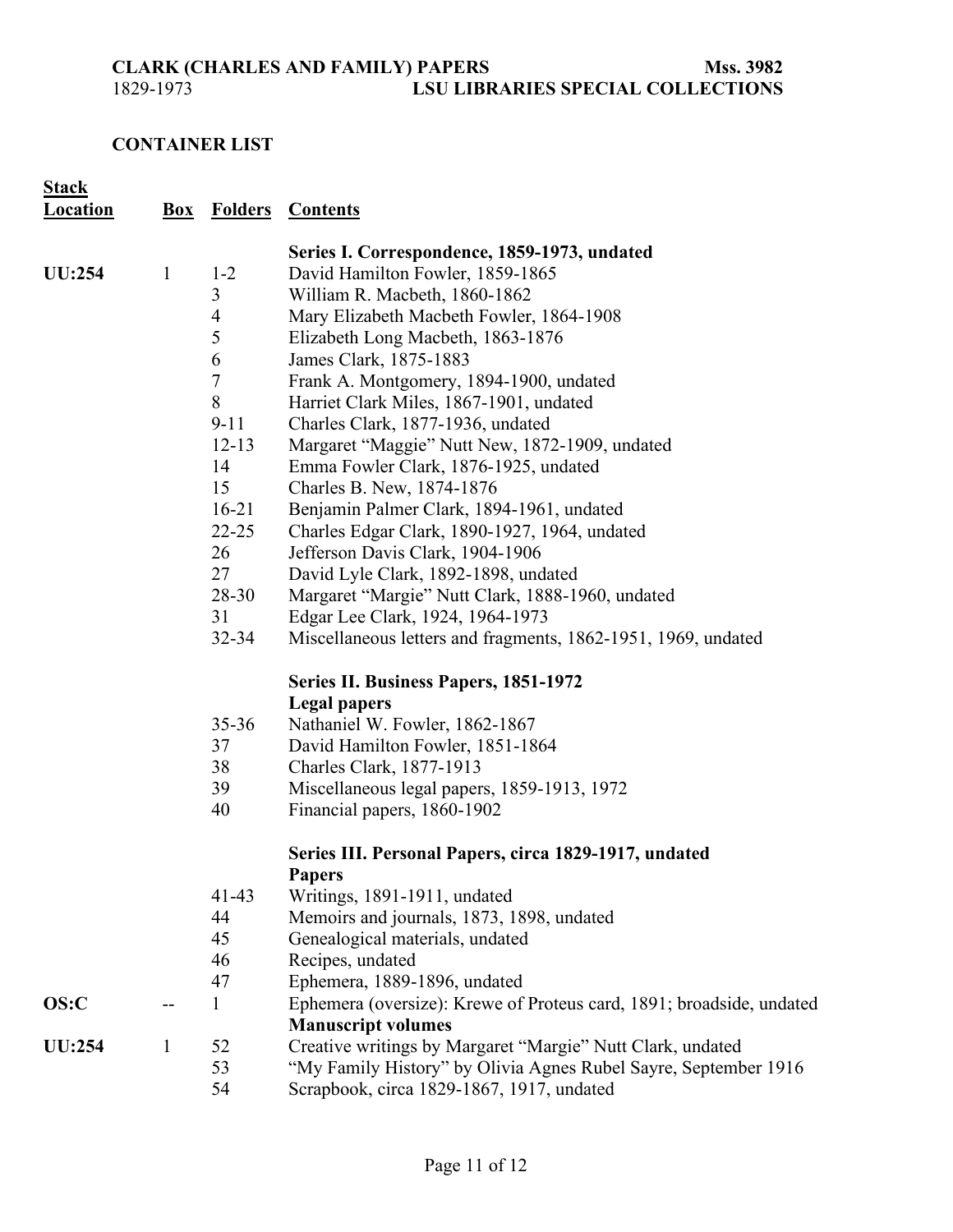## <span id="page-10-0"></span>**CONTAINER LIST**

| <b>Stack</b><br><b>Location</b> |              |                  | <b>Box Folders Contents</b>                                            |
|---------------------------------|--------------|------------------|------------------------------------------------------------------------|
|                                 |              |                  | Series I. Correspondence, 1859-1973, undated                           |
| <b>UU:254</b>                   | $\mathbf{1}$ | $1 - 2$          | David Hamilton Fowler, 1859-1865                                       |
|                                 |              | 3                | William R. Macbeth, 1860-1862                                          |
|                                 |              | $\overline{4}$   | Mary Elizabeth Macbeth Fowler, 1864-1908                               |
|                                 |              | 5                | Elizabeth Long Macbeth, 1863-1876                                      |
|                                 |              | 6                | James Clark, 1875-1883                                                 |
|                                 |              | $\boldsymbol{7}$ | Frank A. Montgomery, 1894-1900, undated                                |
|                                 |              | $8\,$            | Harriet Clark Miles, 1867-1901, undated                                |
|                                 |              | $9 - 11$         | Charles Clark, 1877-1936, undated                                      |
|                                 |              | $12 - 13$        | Margaret "Maggie" Nutt New, 1872-1909, undated                         |
|                                 |              | 14               | Emma Fowler Clark, 1876-1925, undated                                  |
|                                 |              | 15               | Charles B. New, 1874-1876                                              |
|                                 |              | $16 - 21$        | Benjamin Palmer Clark, 1894-1961, undated                              |
|                                 |              | $22 - 25$        | Charles Edgar Clark, 1890-1927, 1964, undated                          |
|                                 |              | 26               | Jefferson Davis Clark, 1904-1906                                       |
|                                 |              | 27               | David Lyle Clark, 1892-1898, undated                                   |
|                                 |              | $28 - 30$        | Margaret "Margie" Nutt Clark, 1888-1960, undated                       |
|                                 |              | 31               | Edgar Lee Clark, 1924, 1964-1973                                       |
|                                 |              | $32 - 34$        | Miscellaneous letters and fragments, 1862-1951, 1969, undated          |
|                                 |              |                  | <b>Series II. Business Papers, 1851-1972</b>                           |
|                                 |              |                  | <b>Legal papers</b>                                                    |
|                                 |              | $35 - 36$        | Nathaniel W. Fowler, 1862-1867                                         |
|                                 |              | 37               | David Hamilton Fowler, 1851-1864                                       |
|                                 |              | 38               | Charles Clark, 1877-1913                                               |
|                                 |              | 39               | Miscellaneous legal papers, 1859-1913, 1972                            |
|                                 |              | 40               | Financial papers, 1860-1902                                            |
|                                 |              |                  | Series III. Personal Papers, circa 1829-1917, undated<br><b>Papers</b> |
|                                 |              | $41 - 43$        | Writings, 1891-1911, undated                                           |
|                                 |              | 44               | Memoirs and journals, 1873, 1898, undated                              |
|                                 |              | 45               | Genealogical materials, undated                                        |
|                                 |              | 46               | Recipes, undated                                                       |
|                                 |              | 47               | Ephemera, 1889-1896, undated                                           |
| OS:C                            |              | $\mathbf{1}$     | Ephemera (oversize): Krewe of Proteus card, 1891; broadside, undated   |
|                                 |              |                  | <b>Manuscript volumes</b>                                              |
| <b>UU:254</b>                   | $\mathbf{1}$ | 52               | Creative writings by Margaret "Margie" Nutt Clark, undated             |
|                                 |              | 53               | "My Family History" by Olivia Agnes Rubel Sayre, September 1916        |
|                                 |              | 54               | Scrapbook, circa 1829-1867, 1917, undated                              |